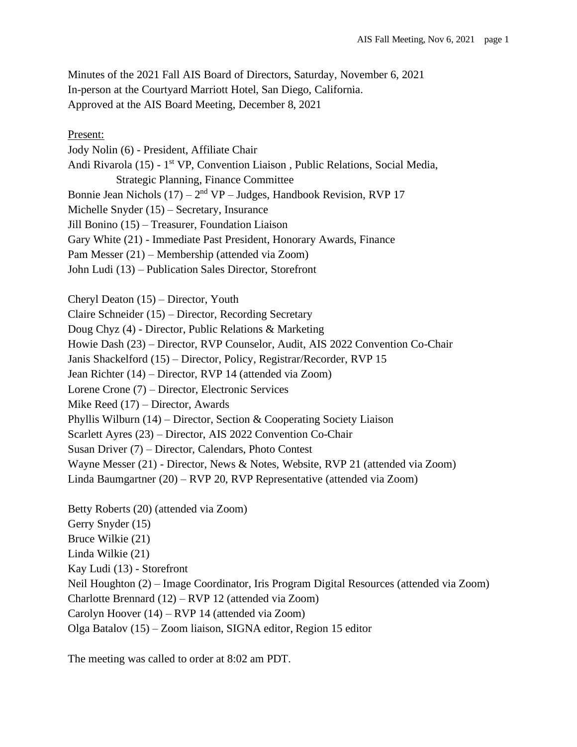Minutes of the 2021 Fall AIS Board of Directors, Saturday, November 6, 2021 In-person at the Courtyard Marriott Hotel, San Diego, California. Approved at the AIS Board Meeting, December 8, 2021

Present:

Jody Nolin (6) - President, Affiliate Chair Andi Rivarola (15) - 1<sup>st</sup> VP, Convention Liaison, Public Relations, Social Media, Strategic Planning, Finance Committee Bonnie Jean Nichols  $(17) - 2<sup>nd</sup> VP - Judges$ , Handbook Revision, RVP 17 Michelle Snyder (15) – Secretary, Insurance Jill Bonino (15) – Treasurer, Foundation Liaison Gary White (21) - Immediate Past President, Honorary Awards, Finance Pam Messer (21) – Membership (attended via Zoom) John Ludi (13) – Publication Sales Director, Storefront

Cheryl Deaton (15) – Director, Youth

Claire Schneider (15) – Director, Recording Secretary

Doug Chyz (4) - Director, Public Relations & Marketing

Howie Dash (23) – Director, RVP Counselor, Audit, AIS 2022 Convention Co-Chair

Janis Shackelford (15) – Director, Policy, Registrar/Recorder, RVP 15

Jean Richter (14) – Director, RVP 14 (attended via Zoom)

Lorene Crone (7) – Director, Electronic Services

Mike Reed (17) – Director, Awards

Phyllis Wilburn (14) – Director, Section & Cooperating Society Liaison

Scarlett Ayres (23) – Director, AIS 2022 Convention Co-Chair

Susan Driver (7) – Director, Calendars, Photo Contest

Wayne Messer (21) - Director, News & Notes, Website, RVP 21 (attended via Zoom)

Linda Baumgartner (20) – RVP 20, RVP Representative (attended via Zoom)

Betty Roberts (20) (attended via Zoom) Gerry Snyder (15) Bruce Wilkie (21) Linda Wilkie (21) Kay Ludi (13) - Storefront Neil Houghton (2) – Image Coordinator, Iris Program Digital Resources (attended via Zoom) Charlotte Brennard (12) – RVP 12 (attended via Zoom) Carolyn Hoover (14) – RVP 14 (attended via Zoom) Olga Batalov (15) – Zoom liaison, SIGNA editor, Region 15 editor

The meeting was called to order at 8:02 am PDT.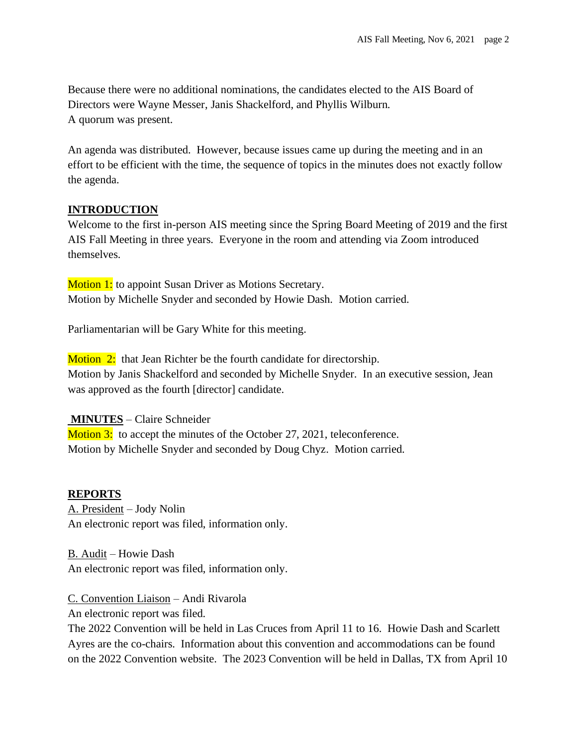Because there were no additional nominations, the candidates elected to the AIS Board of Directors were Wayne Messer, Janis Shackelford, and Phyllis Wilburn. A quorum was present.

An agenda was distributed. However, because issues came up during the meeting and in an effort to be efficient with the time, the sequence of topics in the minutes does not exactly follow the agenda.

## **INTRODUCTION**

Welcome to the first in-person AIS meeting since the Spring Board Meeting of 2019 and the first AIS Fall Meeting in three years. Everyone in the room and attending via Zoom introduced themselves.

**Motion 1:** to appoint Susan Driver as Motions Secretary. Motion by Michelle Snyder and seconded by Howie Dash. Motion carried.

Parliamentarian will be Gary White for this meeting.

Motion 2: that Jean Richter be the fourth candidate for directorship. Motion by Janis Shackelford and seconded by Michelle Snyder. In an executive session, Jean was approved as the fourth [director] candidate.

## **MINUTES** – Claire Schneider

Motion 3: to accept the minutes of the October 27, 2021, teleconference. Motion by Michelle Snyder and seconded by Doug Chyz. Motion carried.

## **REPORTS**

A. President – Jody Nolin An electronic report was filed, information only.

B. Audit – Howie Dash An electronic report was filed, information only.

C. Convention Liaison – Andi Rivarola An electronic report was filed.

The 2022 Convention will be held in Las Cruces from April 11 to 16. Howie Dash and Scarlett Ayres are the co-chairs. Information about this convention and accommodations can be found on the 2022 Convention website. The 2023 Convention will be held in Dallas, TX from April 10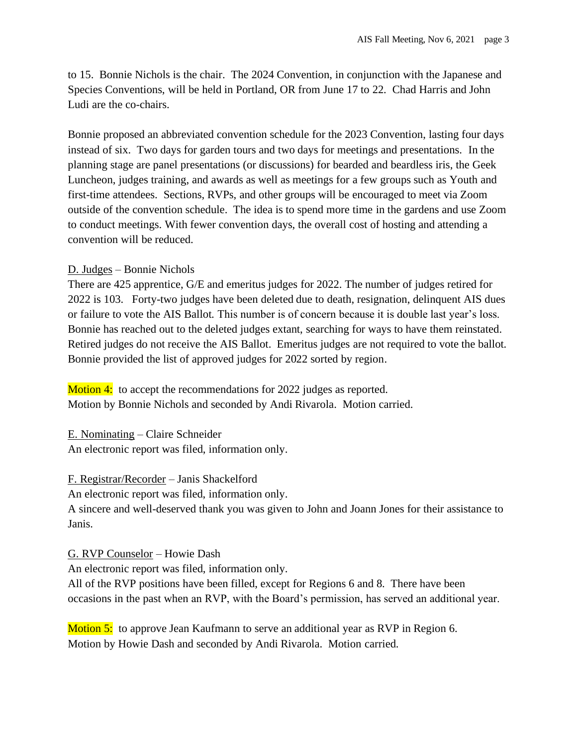to 15. Bonnie Nichols is the chair. The 2024 Convention, in conjunction with the Japanese and Species Conventions, will be held in Portland, OR from June 17 to 22. Chad Harris and John Ludi are the co-chairs.

Bonnie proposed an abbreviated convention schedule for the 2023 Convention, lasting four days instead of six. Two days for garden tours and two days for meetings and presentations. In the planning stage are panel presentations (or discussions) for bearded and beardless iris, the Geek Luncheon, judges training, and awards as well as meetings for a few groups such as Youth and first-time attendees. Sections, RVPs, and other groups will be encouraged to meet via Zoom outside of the convention schedule. The idea is to spend more time in the gardens and use Zoom to conduct meetings. With fewer convention days, the overall cost of hosting and attending a convention will be reduced.

## D. Judges – Bonnie Nichols

There are 425 apprentice, G/E and emeritus judges for 2022. The number of judges retired for 2022 is 103. Forty-two judges have been deleted due to death, resignation, delinquent AIS dues or failure to vote the AIS Ballot. This number is of concern because it is double last year's loss. Bonnie has reached out to the deleted judges extant, searching for ways to have them reinstated. Retired judges do not receive the AIS Ballot. Emeritus judges are not required to vote the ballot. Bonnie provided the list of approved judges for 2022 sorted by region.

**Motion 4:** to accept the recommendations for 2022 judges as reported. Motion by Bonnie Nichols and seconded by Andi Rivarola. Motion carried.

E. Nominating – Claire Schneider An electronic report was filed, information only.

# F. Registrar/Recorder – Janis Shackelford

An electronic report was filed, information only.

A sincere and well-deserved thank you was given to John and Joann Jones for their assistance to Janis.

# G. RVP Counselor – Howie Dash

An electronic report was filed, information only.

All of the RVP positions have been filled, except for Regions 6 and 8. There have been occasions in the past when an RVP, with the Board's permission, has served an additional year.

Motion 5: to approve Jean Kaufmann to serve an additional year as RVP in Region 6. Motion by Howie Dash and seconded by Andi Rivarola. Motion carried.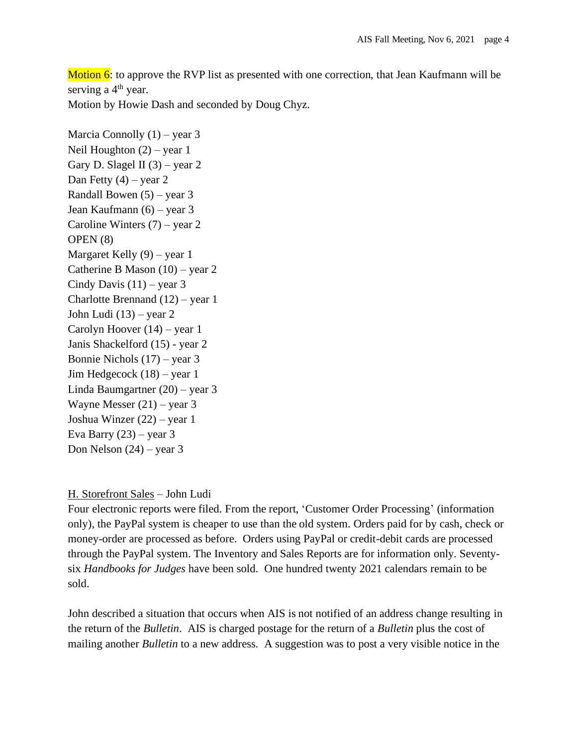Motion  $6$ : to approve the RVP list as presented with one correction, that Jean Kaufmann will be serving a  $4<sup>th</sup>$  year.

Motion by Howie Dash and seconded by Doug Chyz.

Marcia Connolly  $(1)$  – year 3 Neil Houghton (2) – year 1 Gary D. Slagel II  $(3)$  – year 2 Dan Fetty  $(4)$  – year 2 Randall Bowen (5) – year 3 Jean Kaufmann (6) – year 3 Caroline Winters (7) – year 2 OPEN (8) Margaret Kelly (9) – year 1 Catherine B Mason (10) – year 2 Cindy Davis  $(11)$  – year 3 Charlotte Brennand (12) – year 1 John Ludi (13) – year 2 Carolyn Hoover (14) – year 1 Janis Shackelford (15) - year 2 Bonnie Nichols (17) – year 3 Jim Hedgecock (18) – year 1 Linda Baumgartner (20) – year 3 Wayne Messer (21) – year 3 Joshua Winzer (22) – year 1 Eva Barry  $(23)$  – year 3 Don Nelson  $(24)$  – year 3

## H. Storefront Sales – John Ludi

Four electronic reports were filed. From the report, 'Customer Order Processing' (information only), the PayPal system is cheaper to use than the old system. Orders paid for by cash, check or money-order are processed as before. Orders using PayPal or credit-debit cards are processed through the PayPal system. The Inventory and Sales Reports are for information only. Seventysix *Handbooks for Judges* have been sold. One hundred twenty 2021 calendars remain to be sold.

John described a situation that occurs when AIS is not notified of an address change resulting in the return of the *Bulletin*. AIS is charged postage for the return of a *Bulletin* plus the cost of mailing another *Bulletin* to a new address. A suggestion was to post a very visible notice in the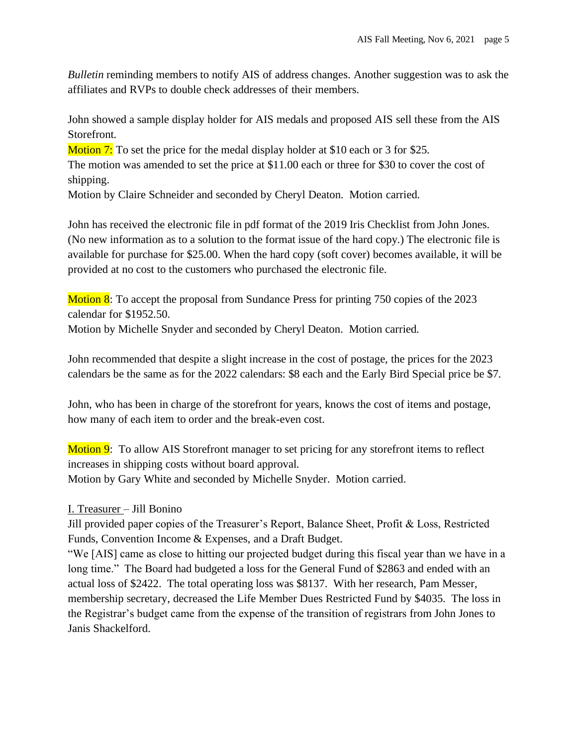*Bulletin* reminding members to notify AIS of address changes. Another suggestion was to ask the affiliates and RVPs to double check addresses of their members.

John showed a sample display holder for AIS medals and proposed AIS sell these from the AIS Storefront.

Motion 7: To set the price for the medal display holder at \$10 each or 3 for \$25.

The motion was amended to set the price at \$11.00 each or three for \$30 to cover the cost of shipping.

Motion by Claire Schneider and seconded by Cheryl Deaton. Motion carried.

John has received the electronic file in pdf format of the 2019 Iris Checklist from John Jones. (No new information as to a solution to the format issue of the hard copy.) The electronic file is available for purchase for \$25.00. When the hard copy (soft cover) becomes available, it will be provided at no cost to the customers who purchased the electronic file.

Motion 8: To accept the proposal from Sundance Press for printing 750 copies of the 2023 calendar for \$1952.50.

Motion by Michelle Snyder and seconded by Cheryl Deaton. Motion carried.

John recommended that despite a slight increase in the cost of postage, the prices for the 2023 calendars be the same as for the 2022 calendars: \$8 each and the Early Bird Special price be \$7.

John, who has been in charge of the storefront for years, knows the cost of items and postage, how many of each item to order and the break-even cost.

Motion 9: To allow AIS Storefront manager to set pricing for any storefront items to reflect increases in shipping costs without board approval. Motion by Gary White and seconded by Michelle Snyder. Motion carried.

# I. Treasurer – Jill Bonino

Jill provided paper copies of the Treasurer's Report, Balance Sheet, Profit & Loss, Restricted Funds, Convention Income & Expenses, and a Draft Budget.

"We [AIS] came as close to hitting our projected budget during this fiscal year than we have in a long time." The Board had budgeted a loss for the General Fund of \$2863 and ended with an actual loss of \$2422. The total operating loss was \$8137. With her research, Pam Messer, membership secretary, decreased the Life Member Dues Restricted Fund by \$4035. The loss in the Registrar's budget came from the expense of the transition of registrars from John Jones to Janis Shackelford.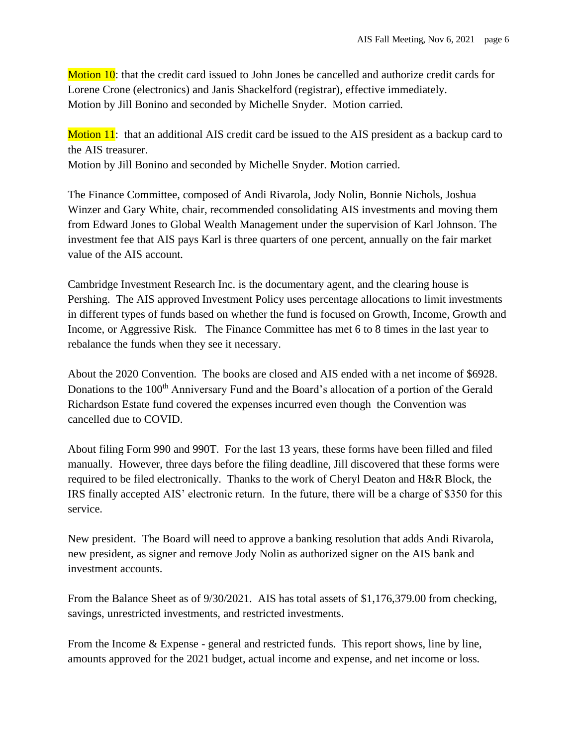Motion 10: that the credit card issued to John Jones be cancelled and authorize credit cards for Lorene Crone (electronics) and Janis Shackelford (registrar), effective immediately. Motion by Jill Bonino and seconded by Michelle Snyder. Motion carried.

Motion 11: that an additional AIS credit card be issued to the AIS president as a backup card to the AIS treasurer.

Motion by Jill Bonino and seconded by Michelle Snyder. Motion carried.

The Finance Committee, composed of Andi Rivarola, Jody Nolin, Bonnie Nichols, Joshua Winzer and Gary White, chair, recommended consolidating AIS investments and moving them from Edward Jones to Global Wealth Management under the supervision of Karl Johnson. The investment fee that AIS pays Karl is three quarters of one percent, annually on the fair market value of the AIS account.

Cambridge Investment Research Inc. is the documentary agent, and the clearing house is Pershing. The AIS approved Investment Policy uses percentage allocations to limit investments in different types of funds based on whether the fund is focused on Growth, Income, Growth and Income, or Aggressive Risk. The Finance Committee has met 6 to 8 times in the last year to rebalance the funds when they see it necessary.

About the 2020 Convention. The books are closed and AIS ended with a net income of \$6928. Donations to the 100<sup>th</sup> Anniversary Fund and the Board's allocation of a portion of the Gerald Richardson Estate fund covered the expenses incurred even though the Convention was cancelled due to COVID.

About filing Form 990 and 990T. For the last 13 years, these forms have been filled and filed manually. However, three days before the filing deadline, Jill discovered that these forms were required to be filed electronically. Thanks to the work of Cheryl Deaton and H&R Block, the IRS finally accepted AIS' electronic return. In the future, there will be a charge of \$350 for this service.

New president. The Board will need to approve a banking resolution that adds Andi Rivarola, new president, as signer and remove Jody Nolin as authorized signer on the AIS bank and investment accounts.

From the Balance Sheet as of 9/30/2021. AIS has total assets of \$1,176,379.00 from checking, savings, unrestricted investments, and restricted investments.

From the Income & Expense - general and restricted funds. This report shows, line by line, amounts approved for the 2021 budget, actual income and expense, and net income or loss.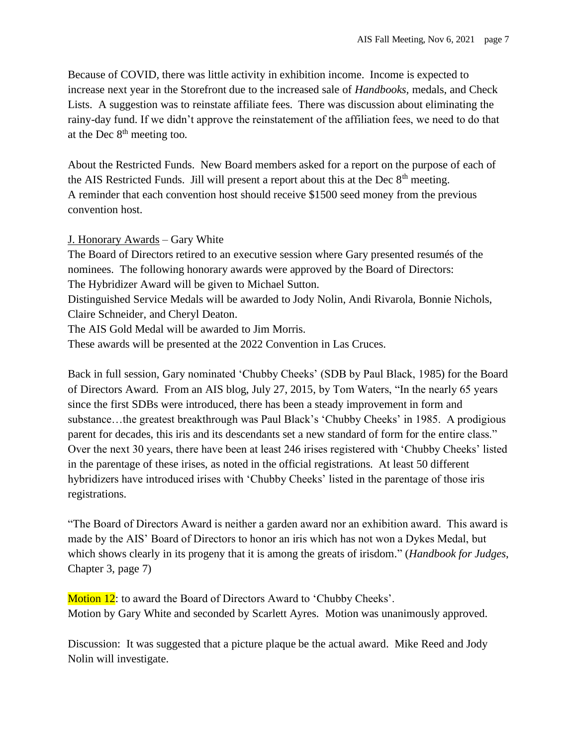Because of COVID, there was little activity in exhibition income. Income is expected to increase next year in the Storefront due to the increased sale of *Handbooks,* medals, and Check Lists. A suggestion was to reinstate affiliate fees. There was discussion about eliminating the rainy-day fund. If we didn't approve the reinstatement of the affiliation fees, we need to do that at the Dec  $8<sup>th</sup>$  meeting too.

About the Restricted Funds. New Board members asked for a report on the purpose of each of the AIS Restricted Funds. Jill will present a report about this at the Dec  $8<sup>th</sup>$  meeting. A reminder that each convention host should receive \$1500 seed money from the previous convention host.

## J. Honorary Awards – Gary White

The Board of Directors retired to an executive session where Gary presented resumés of the nominees. The following honorary awards were approved by the Board of Directors: The Hybridizer Award will be given to Michael Sutton.

Distinguished Service Medals will be awarded to Jody Nolin, Andi Rivarola, Bonnie Nichols, Claire Schneider, and Cheryl Deaton.

The AIS Gold Medal will be awarded to Jim Morris.

These awards will be presented at the 2022 Convention in Las Cruces.

Back in full session, Gary nominated 'Chubby Cheeks' (SDB by Paul Black, 1985) for the Board of Directors Award. From an AIS blog, July 27, 2015, by Tom Waters, "In the nearly 65 years since the first SDBs were introduced, there has been a steady improvement in form and substance…the greatest breakthrough was Paul Black's 'Chubby Cheeks' in 1985. A prodigious parent for decades, this iris and its descendants set a new standard of form for the entire class." Over the next 30 years, there have been at least 246 irises registered with 'Chubby Cheeks' listed in the parentage of these irises, as noted in the official registrations. At least 50 different hybridizers have introduced irises with 'Chubby Cheeks' listed in the parentage of those iris registrations.

"The Board of Directors Award is neither a garden award nor an exhibition award. This award is made by the AIS' Board of Directors to honor an iris which has not won a Dykes Medal, but which shows clearly in its progeny that it is among the greats of irisdom." (*Handbook for Judges*, Chapter 3, page 7)

Motion 12: to award the Board of Directors Award to 'Chubby Cheeks'. Motion by Gary White and seconded by Scarlett Ayres. Motion was unanimously approved.

Discussion: It was suggested that a picture plaque be the actual award. Mike Reed and Jody Nolin will investigate.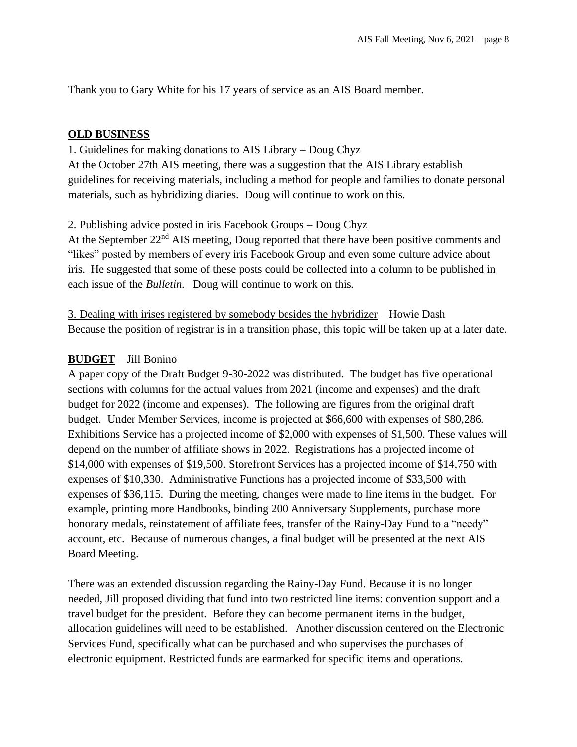Thank you to Gary White for his 17 years of service as an AIS Board member.

#### **OLD BUSINESS**

#### 1. Guidelines for making donations to AIS Library – Doug Chyz

At the October 27th AIS meeting, there was a suggestion that the AIS Library establish guidelines for receiving materials, including a method for people and families to donate personal materials, such as hybridizing diaries. Doug will continue to work on this.

#### 2. Publishing advice posted in iris Facebook Groups – Doug Chyz

At the September 22<sup>nd</sup> AIS meeting, Doug reported that there have been positive comments and "likes" posted by members of every iris Facebook Group and even some culture advice about iris. He suggested that some of these posts could be collected into a column to be published in each issue of the *Bulletin*. Doug will continue to work on this.

3. Dealing with irises registered by somebody besides the hybridizer – Howie Dash Because the position of registrar is in a transition phase, this topic will be taken up at a later date.

## **BUDGET** – Jill Bonino

A paper copy of the Draft Budget 9-30-2022 was distributed. The budget has five operational sections with columns for the actual values from 2021 (income and expenses) and the draft budget for 2022 (income and expenses). The following are figures from the original draft budget. Under Member Services, income is projected at \$66,600 with expenses of \$80,286. Exhibitions Service has a projected income of \$2,000 with expenses of \$1,500. These values will depend on the number of affiliate shows in 2022. Registrations has a projected income of \$14,000 with expenses of \$19,500. Storefront Services has a projected income of \$14,750 with expenses of \$10,330. Administrative Functions has a projected income of \$33,500 with expenses of \$36,115. During the meeting, changes were made to line items in the budget. For example, printing more Handbooks, binding 200 Anniversary Supplements, purchase more honorary medals, reinstatement of affiliate fees, transfer of the Rainy-Day Fund to a "needy" account, etc. Because of numerous changes, a final budget will be presented at the next AIS Board Meeting.

There was an extended discussion regarding the Rainy-Day Fund. Because it is no longer needed, Jill proposed dividing that fund into two restricted line items: convention support and a travel budget for the president. Before they can become permanent items in the budget, allocation guidelines will need to be established. Another discussion centered on the Electronic Services Fund, specifically what can be purchased and who supervises the purchases of electronic equipment. Restricted funds are earmarked for specific items and operations.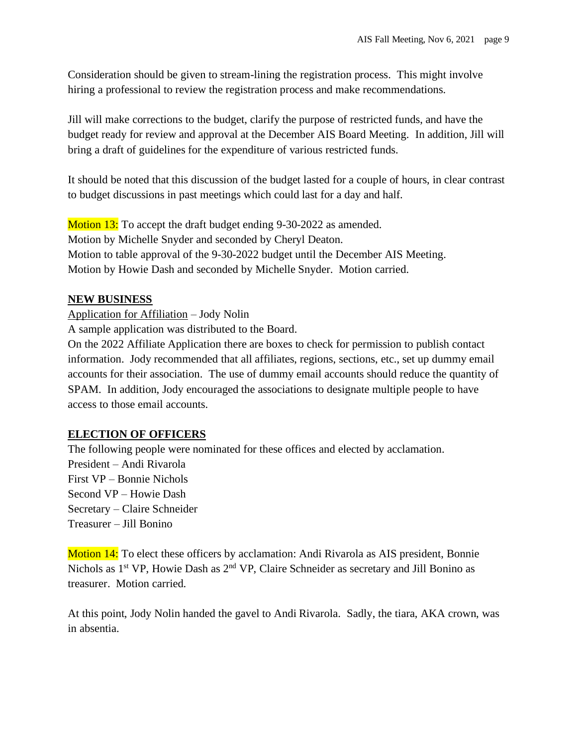Consideration should be given to stream-lining the registration process. This might involve hiring a professional to review the registration process and make recommendations.

Jill will make corrections to the budget, clarify the purpose of restricted funds, and have the budget ready for review and approval at the December AIS Board Meeting. In addition, Jill will bring a draft of guidelines for the expenditure of various restricted funds.

It should be noted that this discussion of the budget lasted for a couple of hours, in clear contrast to budget discussions in past meetings which could last for a day and half.

Motion 13: To accept the draft budget ending 9-30-2022 as amended. Motion by Michelle Snyder and seconded by Cheryl Deaton. Motion to table approval of the 9-30-2022 budget until the December AIS Meeting. Motion by Howie Dash and seconded by Michelle Snyder. Motion carried.

## **NEW BUSINESS**

Application for Affiliation – Jody Nolin

A sample application was distributed to the Board.

On the 2022 Affiliate Application there are boxes to check for permission to publish contact information. Jody recommended that all affiliates, regions, sections, etc., set up dummy email accounts for their association. The use of dummy email accounts should reduce the quantity of SPAM. In addition, Jody encouraged the associations to designate multiple people to have access to those email accounts.

# **ELECTION OF OFFICERS**

The following people were nominated for these offices and elected by acclamation. President – Andi Rivarola First VP – Bonnie Nichols Second VP – Howie Dash Secretary – Claire Schneider Treasurer – Jill Bonino

Motion 14: To elect these officers by acclamation: Andi Rivarola as AIS president, Bonnie Nichols as 1<sup>st</sup> VP, Howie Dash as 2<sup>nd</sup> VP, Claire Schneider as secretary and Jill Bonino as treasurer. Motion carried.

At this point, Jody Nolin handed the gavel to Andi Rivarola. Sadly, the tiara, AKA crown, was in absentia.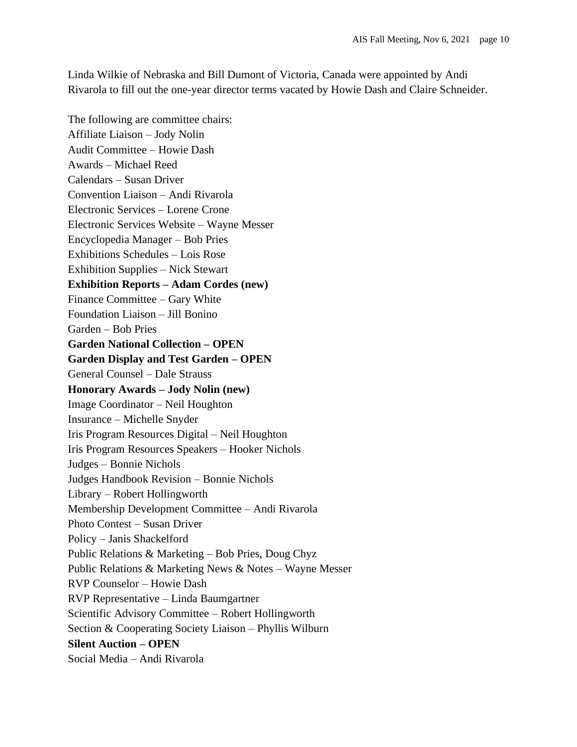Linda Wilkie of Nebraska and Bill Dumont of Victoria, Canada were appointed by Andi Rivarola to fill out the one-year director terms vacated by Howie Dash and Claire Schneider.

The following are committee chairs: Affiliate Liaison – Jody Nolin Audit Committee – Howie Dash Awards – Michael Reed Calendars – Susan Driver Convention Liaison – Andi Rivarola Electronic Services – Lorene Crone Electronic Services Website – Wayne Messer Encyclopedia Manager – Bob Pries Exhibitions Schedules – Lois Rose Exhibition Supplies – Nick Stewart **Exhibition Reports – Adam Cordes (new)** Finance Committee – Gary White Foundation Liaison – Jill Bonino Garden – Bob Pries **Garden National Collection – OPEN Garden Display and Test Garden – OPEN** General Counsel – Dale Strauss **Honorary Awards – Jody Nolin (new)** Image Coordinator – Neil Houghton Insurance – Michelle Snyder Iris Program Resources Digital – Neil Houghton Iris Program Resources Speakers – Hooker Nichols Judges – Bonnie Nichols Judges Handbook Revision – Bonnie Nichols Library – Robert Hollingworth Membership Development Committee – Andi Rivarola Photo Contest – Susan Driver Policy – Janis Shackelford Public Relations & Marketing – Bob Pries, Doug Chyz Public Relations & Marketing News & Notes – Wayne Messer RVP Counselor – Howie Dash RVP Representative – Linda Baumgartner Scientific Advisory Committee – Robert Hollingworth Section & Cooperating Society Liaison – Phyllis Wilburn **Silent Auction – OPEN** Social Media – Andi Rivarola